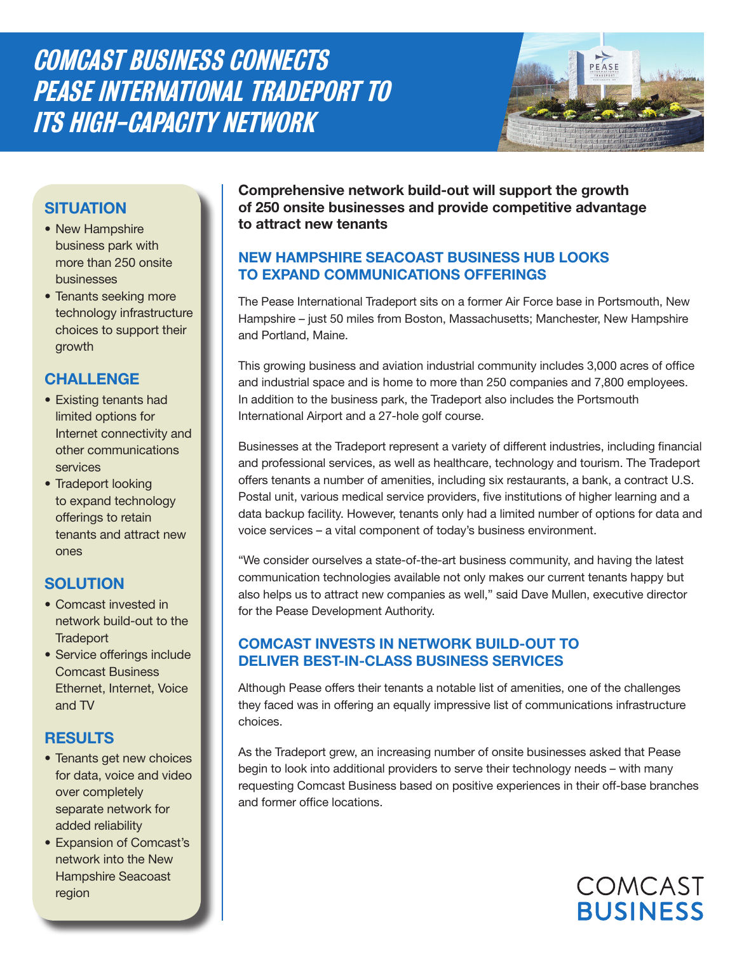Comcast Business Connects Pease International Tradeport to its High-Capacity Network



# **situation**

- New Hampshire business park with more than 250 onsite businesses
- Tenants seeking more technology infrastructure choices to support their growth

### **challenge**

- Existing tenants had limited options for Internet connectivity and other communications services
- Tradeport looking to expand technology offerings to retain tenants and attract new ones

## **Solution**

- Comcast invested in network build-out to the **Tradeport**
- Service offerings include Comcast Business Ethernet, Internet, Voice and TV

## **RESULTS**

- Tenants get new choices for data, voice and video over completely separate network for added reliability
- Expansion of Comcast's network into the New Hampshire Seacoast region

**Comprehensive network build-out will support the growth of 250 onsite businesses and provide competitive advantage to attract new tenants**

### **New Hampshire Seacoast Business Hub Looks to Expand Communications Offerings**

The Pease International Tradeport sits on a former Air Force base in Portsmouth, New Hampshire – just 50 miles from Boston, Massachusetts; Manchester, New Hampshire and Portland, Maine.

This growing business and aviation industrial community includes 3,000 acres of office and industrial space and is home to more than 250 companies and 7,800 employees. In addition to the business park, the Tradeport also includes the Portsmouth International Airport and a 27-hole golf course.

Businesses at the Tradeport represent a variety of different industries, including financial and professional services, as well as healthcare, technology and tourism. The Tradeport offers tenants a number of amenities, including six restaurants, a bank, a contract U.S. Postal unit, various medical service providers, five institutions of higher learning and a data backup facility. However, tenants only had a limited number of options for data and voice services – a vital component of today's business environment.

"We consider ourselves a state-of-the-art business community, and having the latest communication technologies available not only makes our current tenants happy but also helps us to attract new companies as well," said Dave Mullen, executive director for the Pease Development Authority.

#### **Comcast Invests in Network Build-Out to Deliver Best-In-Class Business Services**

Although Pease offers their tenants a notable list of amenities, one of the challenges they faced was in offering an equally impressive list of communications infrastructure choices.

As the Tradeport grew, an increasing number of onsite businesses asked that Pease begin to look into additional providers to serve their technology needs – with many requesting Comcast Business based on positive experiences in their off-base branches and former office locations.